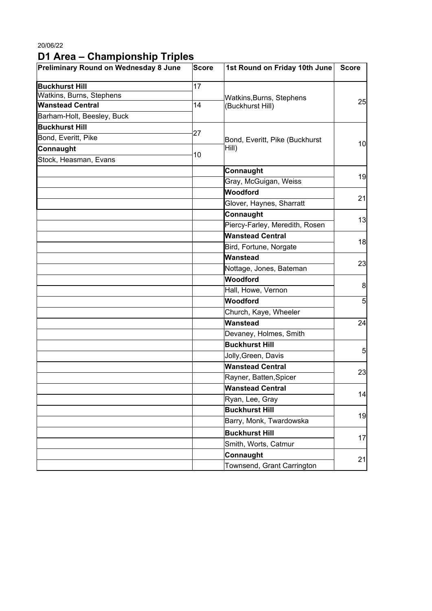20/06/22

## **D1 Area – Championship Triples**

| Preliminary Round on Wednesday 8 June | Score | 1st Round on Friday 10th June  | <b>Score</b>   |  |
|---------------------------------------|-------|--------------------------------|----------------|--|
| <b>Buckhurst Hill</b>                 | 17    |                                |                |  |
| Watkins, Burns, Stephens              |       | Watkins, Burns, Stephens       |                |  |
| <b>Wanstead Central</b>               | 14    | (Buckhurst Hill)               | 25             |  |
| Barham-Holt, Beesley, Buck            |       |                                |                |  |
| <b>Buckhurst Hill</b>                 | 27    |                                | 10             |  |
| Bond, Everitt, Pike                   |       | Bond, Everitt, Pike (Buckhurst |                |  |
| Connaught                             |       | Hill)                          |                |  |
| Stock, Heasman, Evans                 | 10    |                                |                |  |
|                                       |       | Connaught                      | 19             |  |
|                                       |       | Gray, McGuigan, Weiss          |                |  |
|                                       |       | Woodford                       | 21             |  |
|                                       |       | Glover, Haynes, Sharratt       |                |  |
|                                       |       | Connaught                      |                |  |
|                                       |       | Piercy-Farley, Meredith, Rosen | 13             |  |
|                                       |       | <b>Wanstead Central</b>        |                |  |
|                                       |       | Bird, Fortune, Norgate         | 18             |  |
|                                       |       | Wanstead                       | 23             |  |
|                                       |       | Nottage, Jones, Bateman        |                |  |
|                                       |       | Woodford                       |                |  |
|                                       |       | Hall, Howe, Vernon             | 8              |  |
|                                       |       | <b>Woodford</b>                | 5 <sub>l</sub> |  |
|                                       |       | Church, Kaye, Wheeler          |                |  |
|                                       |       | Wanstead                       | 24             |  |
|                                       |       | Devaney, Holmes, Smith         |                |  |
|                                       |       | <b>Buckhurst Hill</b>          |                |  |
|                                       |       | Jolly, Green, Davis            | 5 <sub>l</sub> |  |
|                                       |       | <b>Wanstead Central</b>        | 23             |  |
|                                       |       | Rayner, Batten, Spicer         |                |  |
|                                       |       | <b>Wanstead Central</b>        |                |  |
|                                       |       | Ryan, Lee, Gray                | 14             |  |
|                                       |       | <b>Buckhurst Hill</b>          |                |  |
|                                       |       | Barry, Monk, Twardowska        | 19             |  |
|                                       |       | <b>Buckhurst Hill</b>          | 17             |  |
|                                       |       | Smith, Worts, Catmur           |                |  |
|                                       |       | Connaught                      | 21             |  |
|                                       |       | Townsend, Grant Carrington     |                |  |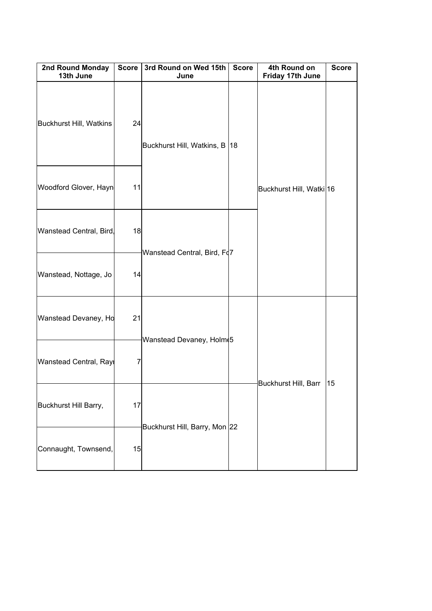| 2nd Round Monday<br>13th June | <b>Score</b> | 3rd Round on Wed 15th<br>June   | <b>Score</b> | 4th Round on<br>Friday 17th June | <b>Score</b> |
|-------------------------------|--------------|---------------------------------|--------------|----------------------------------|--------------|
| Buckhurst Hill, Watkins       | 24           | Buckhurst Hill, Watkins, B   18 |              |                                  |              |
| Woodford Glover, Hayn         | 11           |                                 |              | Buckhurst Hill, Watki 16         |              |
| Wanstead Central, Bird        | 18           | Wanstead Central, Bird, Fd7     |              |                                  |              |
| Wanstead, Nottage, Jo         | 14           |                                 |              |                                  |              |
| Wanstead Devaney, Ho          | 21           | Wanstead Devaney, Holm 5        |              | Buckhurst Hill, Barr             | 15           |
| Wanstead Central, Rayı        | 7            |                                 |              |                                  |              |
| Buckhurst Hill Barry,         | 17           |                                 |              |                                  |              |
| Connaught, Townsend,          | 15           | Buckhurst Hill, Barry, Mon 22   |              |                                  |              |